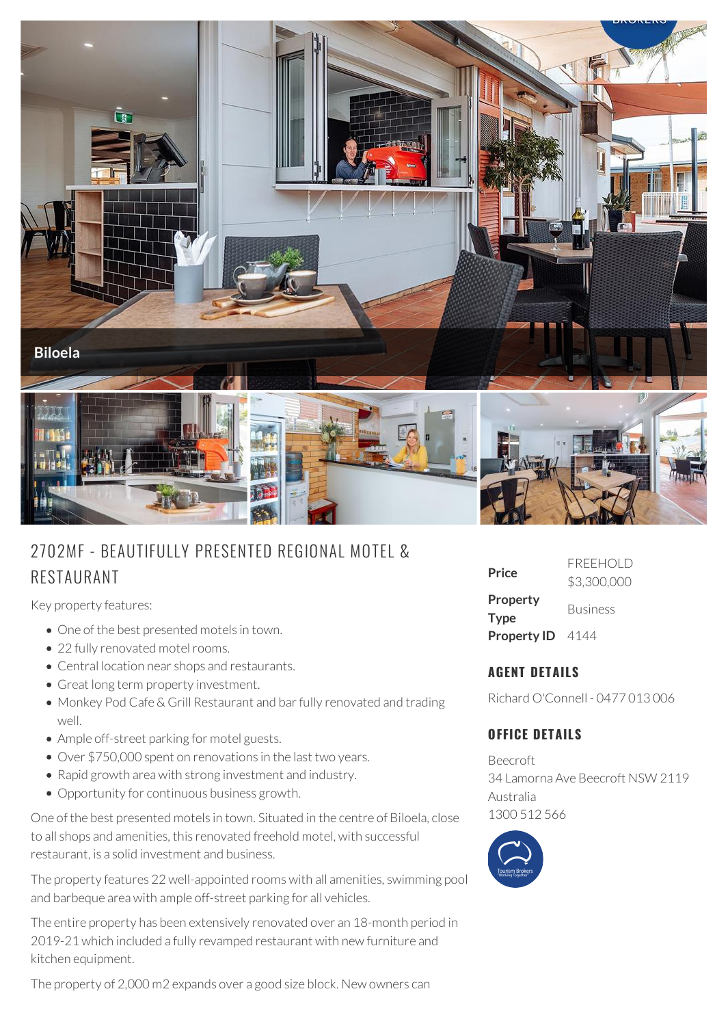

# 2702MF - BEAUTIFULLY PRESENTED REG IONAL MOTEL & RESTAURANT

Key property features:

- One of the best presented motels in town.
- 22 fully renovated motel rooms.
- Central location near shops and restaurants.
- Great long term property investment.
- Monkey Pod Cafe & Grill Restaurant and bar fully renovated and trading well.
- Ample off-street parking for motel guests.
- Over \$750,000 spent on renovations in the last two years.
- Rapid growth area with strong investment and industry.
- Opportunity for continuous business growth.

One of the best presented motels in town. Situated in the centre of Biloela, close to all shops and amenities, this renovated freehold motel, with successful restaurant, is a solid investment and business.

The property features 22 well-appointed rooms with all amenities, swimming pool and barbeque area with ample off-street parking for all vehicles.

The entire property has been extensively renovated over an 18-month period in 2019-21 which included a fully revamped restaurant with new furniture and kitchen equipment.

The property of 2,000 m2 expands over a good size block. New owners can

| Price                          | <b>FRFFHOLD</b><br>\$3,300,000 |
|--------------------------------|--------------------------------|
| <b>Property</b><br><b>Type</b> | <b>Business</b>                |
| Property ID 4144               |                                |

## **AGENT DETAILS**

Richard O'Connell - 0477 013 006

## **OFFICE DETAILS**

Beecroft 34 Lamorna Ave Beecroft NSW 2119 Australia 1300 512 566